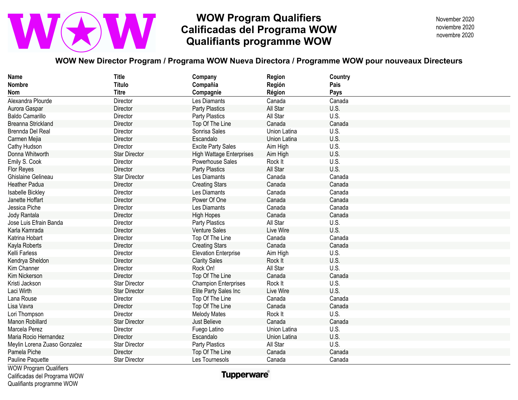## **WOW Program Qualifiers Calificadas del Programa WOW Qualifiants programme WOW**

November 2020 novembre 2020 noviembre 2020

### **WOW New Director Program / Programa WOW Nueva Directora / Programme WOW pour nouveaux Directeurs**

| <b>Name</b>                   | <b>Title</b>         | Company                         | Region       | Country |
|-------------------------------|----------------------|---------------------------------|--------------|---------|
| <b>Nombre</b>                 | <b>Título</b>        | Compañia                        | Región       | Pais    |
| Nom                           | <b>Titre</b>         | Compagnie                       | Région       | Pays    |
| Alexandra Plourde             | Director             | Les Diamants                    | Canada       | Canada  |
| Aurora Gaspar                 | Director             | Party Plastics                  | All Star     | U.S.    |
| <b>Baldo Camarillo</b>        | Director             | Party Plastics                  | All Star     | U.S.    |
| <b>Breanna Strickland</b>     | Director             | Top Of The Line                 | Canada       | Canada  |
| Brennda Del Real              | Director             | Sonrisa Sales                   | Union Latina | U.S.    |
| Carmen Mejia                  | Director             | Escandalo                       | Union Latina | U.S.    |
| Cathy Hudson                  | Director             | <b>Excite Party Sales</b>       | Aim High     | U.S.    |
| Donna Whitworth               | <b>Star Director</b> | <b>High Wattage Enterprises</b> | Aim High     | U.S.    |
| Emily S. Cook                 | Director             | Powerhouse Sales                | Rock It      | U.S.    |
| <b>Flor Reyes</b>             | Director             | Party Plastics                  | All Star     | U.S.    |
| Ghislaine Gelineau            | <b>Star Director</b> | Les Diamants                    | Canada       | Canada  |
| <b>Heather Padua</b>          | Director             | <b>Creating Stars</b>           | Canada       | Canada  |
| Isabelle Bickley              | Director             | Les Diamants                    | Canada       | Canada  |
| Janette Hoffart               | Director             | Power Of One                    | Canada       | Canada  |
| Jessica Piche                 | Director             | Les Diamants                    | Canada       | Canada  |
| Jody Rantala                  | Director             | <b>High Hopes</b>               | Canada       | Canada  |
| Jose Luis Efrain Banda        | Director             | <b>Party Plastics</b>           | All Star     | U.S.    |
| Karla Kamrada                 | Director             | Venture Sales                   | Live Wire    | U.S.    |
| Katrina Hobart                | Director             | Top Of The Line                 | Canada       | Canada  |
| Kayla Roberts                 | Director             | <b>Creating Stars</b>           | Canada       | Canada  |
| Kelli Farless                 | Director             | <b>Elevation Enterprise</b>     | Aim High     | U.S.    |
| Kendrya Sheldon               | Director             | <b>Clarity Sales</b>            | Rock It      | U.S.    |
| Kim Channer                   | Director             | Rock On!                        | All Star     | U.S.    |
| Kim Nickerson                 | Director             | Top Of The Line                 | Canada       | Canada  |
| Kristi Jackson                | <b>Star Director</b> | <b>Champion Enterprises</b>     | Rock It      | U.S.    |
| Laci Wirth                    | <b>Star Director</b> | Elite Party Sales Inc           | Live Wire    | U.S.    |
| Lana Rouse                    | Director             | Top Of The Line                 | Canada       | Canada  |
| Lisa Vavra                    | Director             | Top Of The Line                 | Canada       | Canada  |
| Lori Thompson                 | Director             | <b>Melody Mates</b>             | Rock It      | U.S.    |
| Manon Robillard               | <b>Star Director</b> | Just Believe                    | Canada       | Canada  |
| Marcela Perez                 | Director             | Fuego Latino                    | Union Latina | U.S.    |
| Maria Rocio Hernandez         | Director             | Escandalo                       | Union Latina | U.S.    |
| Meylin Lorena Zuaso Gonzalez  | <b>Star Director</b> | <b>Party Plastics</b>           | All Star     | U.S.    |
| Pamela Piche                  | Director             | Top Of The Line                 | Canada       | Canada  |
| Pauline Paquette              | <b>Star Director</b> | Les Tournesols                  | Canada       | Canada  |
| <b>WOW Program Qualifiers</b> |                      |                                 |              |         |

Calificadas del Programa WOW Qualifiants programme WOW

**Tupperware**®